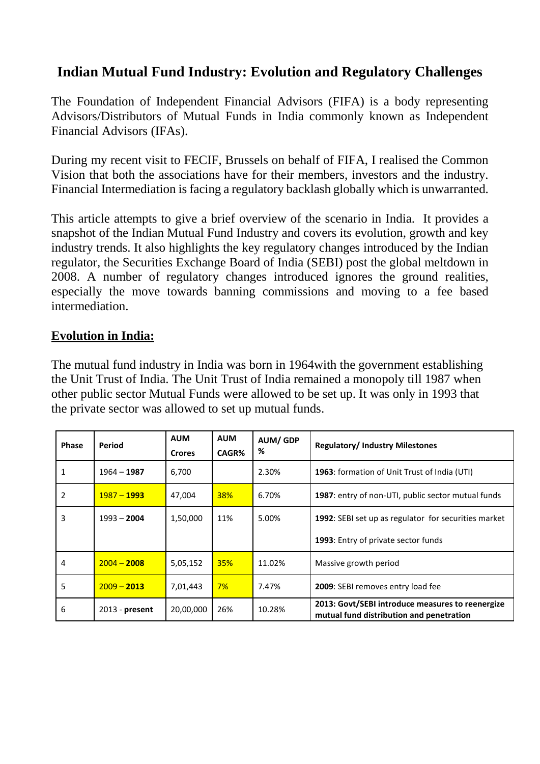# **Indian Mutual Fund Industry: Evolution and Regulatory Challenges**

The Foundation of Independent Financial Advisors (FIFA) is a body representing Advisors/Distributors of Mutual Funds in India commonly known as Independent Financial Advisors (IFAs).

During my recent visit to FECIF, Brussels on behalf of FIFA, I realised the Common Vision that both the associations have for their members, investors and the industry. Financial Intermediation is facing a regulatory backlash globally which is unwarranted.

This article attempts to give a brief overview of the scenario in India. It provides a snapshot of the Indian Mutual Fund Industry and covers its evolution, growth and key industry trends. It also highlights the key regulatory changes introduced by the Indian regulator, the Securities Exchange Board of India (SEBI) post the global meltdown in 2008. A number of regulatory changes introduced ignores the ground realities, especially the move towards banning commissions and moving to a fee based intermediation.

#### **Evolution in India:**

The mutual fund industry in India was born in 1964with the government establishing the Unit Trust of India. The Unit Trust of India remained a monopoly till 1987 when other public sector Mutual Funds were allowed to be set up. It was only in 1993 that the private sector was allowed to set up mutual funds.

| <b>Phase</b> | Period           | <b>AUM</b><br><b>Crores</b> | <b>AUM</b><br>CAGR% | <b>AUM/GDP</b><br>% | <b>Regulatory/Industry Milestones</b>                                                        |
|--------------|------------------|-----------------------------|---------------------|---------------------|----------------------------------------------------------------------------------------------|
| 1            | $1964 - 1987$    | 6,700                       |                     | 2.30%               | 1963: formation of Unit Trust of India (UTI)                                                 |
| 2            | $1987 - 1993$    | 47,004                      | <b>38%</b>          | 6.70%               | 1987: entry of non-UTI, public sector mutual funds                                           |
| 3            | $1993 - 2004$    | 1,50,000                    | 11%                 | 5.00%               | 1992: SEBI set up as regulator for securities market                                         |
|              |                  |                             |                     |                     | 1993: Entry of private sector funds                                                          |
| 4            | $2004 - 2008$    | 5,05,152                    | 35%                 | 11.02%              | Massive growth period                                                                        |
| 5            | $2009 - 2013$    | 7,01,443                    | $7\%$               | 7.47%               | 2009: SEBI removes entry load fee                                                            |
| 6            | $2013$ - present | 20,00,000                   | 26%                 | 10.28%              | 2013: Govt/SEBI introduce measures to reenergize<br>mutual fund distribution and penetration |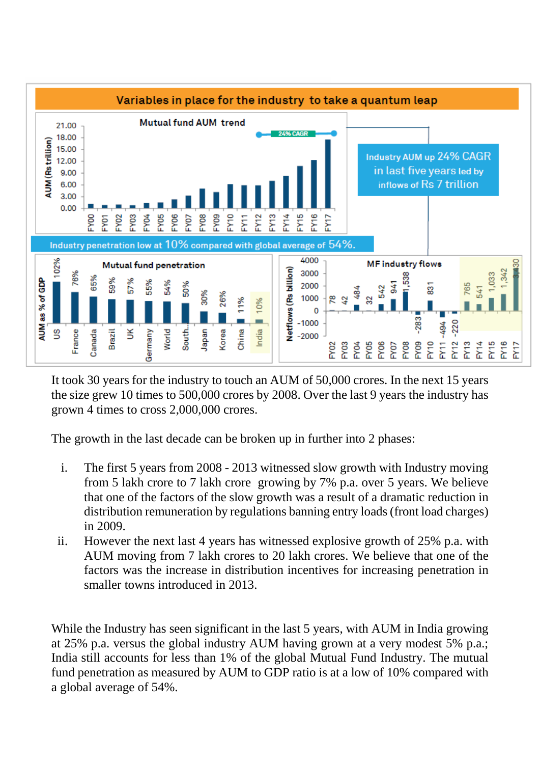

It took 30 years for the industry to touch an AUM of 50,000 crores. In the next 15 years the size grew 10 times to 500,000 crores by 2008. Over the last 9 years the industry has grown 4 times to cross 2,000,000 crores.

The growth in the last decade can be broken up in further into 2 phases:

- i. The first 5 years from 2008 2013 witnessed slow growth with Industry moving from 5 lakh crore to 7 lakh crore growing by 7% p.a. over 5 years. We believe that one of the factors of the slow growth was a result of a dramatic reduction in distribution remuneration by regulations banning entry loads(front load charges) in 2009.
- ii. However the next last 4 years has witnessed explosive growth of 25% p.a. with AUM moving from 7 lakh crores to 20 lakh crores. We believe that one of the factors was the increase in distribution incentives for increasing penetration in smaller towns introduced in 2013.

While the Industry has seen significant in the last 5 years, with AUM in India growing at 25% p.a. versus the global industry AUM having grown at a very modest 5% p.a.; India still accounts for less than 1% of the global Mutual Fund Industry. The mutual fund penetration as measured by AUM to GDP ratio is at a low of 10% compared with a global average of 54%.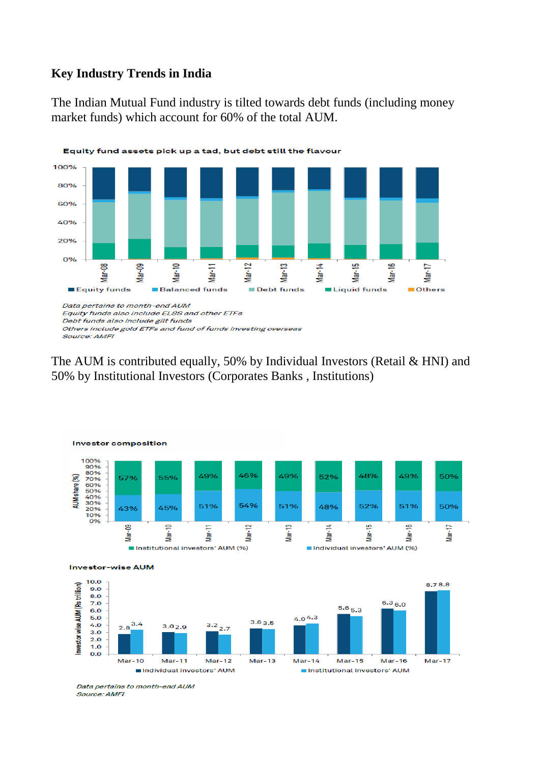#### **Key Industry Trends in India**

The Indian Mutual Fund industry is tilted towards debt funds (including money market funds) which account for 60% of the total AUM.



The AUM is contributed equally, 50% by Individual Investors (Retail & HNI) and 50% by Institutional Investors (Corporates Banks , Institutions)



Data pertains to month-end AUM Source: AMFI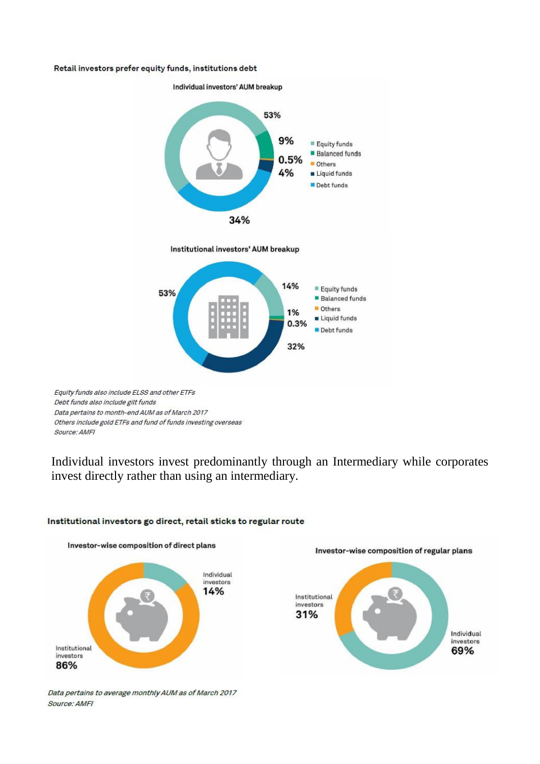#### Retail investors prefer equity funds, institutions debt



Equity funds also include ELSS and other ETFs Debt funds also include gilt funds Data pertains to month-end AUM as of March 2017 Others include gold ETFs and fund of funds investing overseas Source: AMFI

Individual investors invest predominantly through an Intermediary while corporates invest directly rather than using an intermediary.



#### Institutional investors go direct, retail sticks to regular route

Data pertains to average monthly AUM as of March 2017 Source: AMFI

Investor-wise composition of direct plans

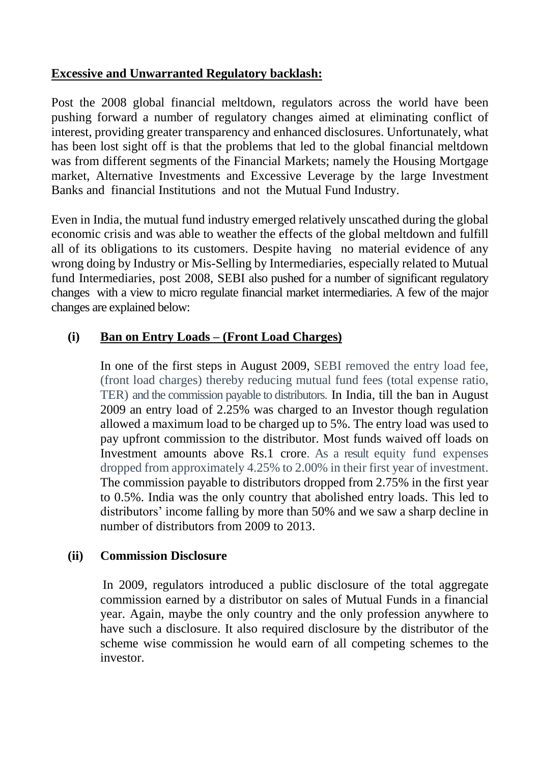## **Excessive and Unwarranted Regulatory backlash:**

Post the 2008 global financial meltdown, regulators across the world have been pushing forward a number of regulatory changes aimed at eliminating conflict of interest, providing greater transparency and enhanced disclosures. Unfortunately, what has been lost sight off is that the problems that led to the global financial meltdown was from different segments of the Financial Markets; namely the Housing Mortgage market, Alternative Investments and Excessive Leverage by the large Investment Banks and financial Institutions and not the Mutual Fund Industry.

Even in India, the mutual fund industry emerged relatively unscathed during the global economic crisis and was able to weather the effects of the global meltdown and fulfill all of its obligations to its customers. Despite having no material evidence of any wrong doing by Industry or Mis-Selling by Intermediaries, especially related to Mutual fund Intermediaries, post 2008, SEBI also pushed for a number of significant regulatory changes with a view to micro regulate financial market intermediaries. A few of the major changes are explained below:

## **(i) Ban on Entry Loads – (Front Load Charges)**

In one of the first steps in August 2009, SEBI removed the entry load fee, (front load charges) thereby reducing mutual fund fees (total expense ratio, TER) and the commission payable to distributors. In India, till the ban in August 2009 an entry load of 2.25% was charged to an Investor though regulation allowed a maximum load to be charged up to 5%. The entry load was used to pay upfront commission to the distributor. Most funds waived off loads on Investment amounts above Rs.1 crore. As a result equity fund expenses dropped from approximately 4.25% to 2.00% in their first year of investment. The commission payable to distributors dropped from 2.75% in the first year to 0.5%. India was the only country that abolished entry loads. This led to distributors' income falling by more than 50% and we saw a sharp decline in number of distributors from 2009 to 2013.

#### **(ii) Commission Disclosure**

In 2009, regulators introduced a public disclosure of the total aggregate commission earned by a distributor on sales of Mutual Funds in a financial year. Again, maybe the only country and the only profession anywhere to have such a disclosure. It also required disclosure by the distributor of the scheme wise commission he would earn of all competing schemes to the investor.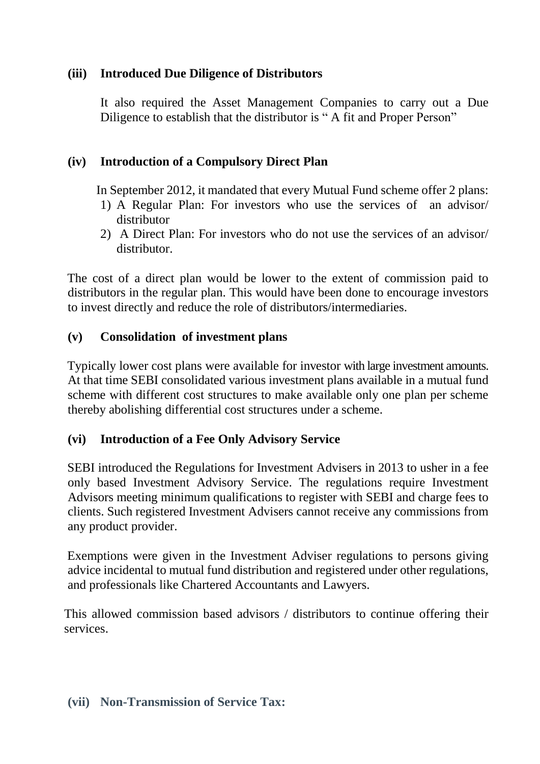## **(iii) Introduced Due Diligence of Distributors**

It also required the Asset Management Companies to carry out a Due Diligence to establish that the distributor is " A fit and Proper Person"

## **(iv) Introduction of a Compulsory Direct Plan**

In September 2012, it mandated that every Mutual Fund scheme offer 2 plans:

- 1) A Regular Plan: For investors who use the services of an advisor/ distributor
- 2) A Direct Plan: For investors who do not use the services of an advisor/ distributor.

The cost of a direct plan would be lower to the extent of commission paid to distributors in the regular plan. This would have been done to encourage investors to invest directly and reduce the role of distributors/intermediaries.

## **(v) Consolidation of investment plans**

Typically lower cost plans were available for investor with large investment amounts. At that time SEBI consolidated various investment plans available in a mutual fund scheme with different cost structures to make available only one plan per scheme thereby abolishing differential cost structures under a scheme.

## **(vi) Introduction of a Fee Only Advisory Service**

SEBI introduced the Regulations for Investment Advisers in 2013 to usher in a fee only based Investment Advisory Service. The regulations require Investment Advisors meeting minimum qualifications to register with SEBI and charge fees to clients. Such registered Investment Advisers cannot receive any commissions from any product provider.

Exemptions were given in the Investment Adviser regulations to persons giving advice incidental to mutual fund distribution and registered under other regulations, and professionals like Chartered Accountants and Lawyers.

This allowed commission based advisors / distributors to continue offering their services.

#### **(vii) Non-Transmission of Service Tax:**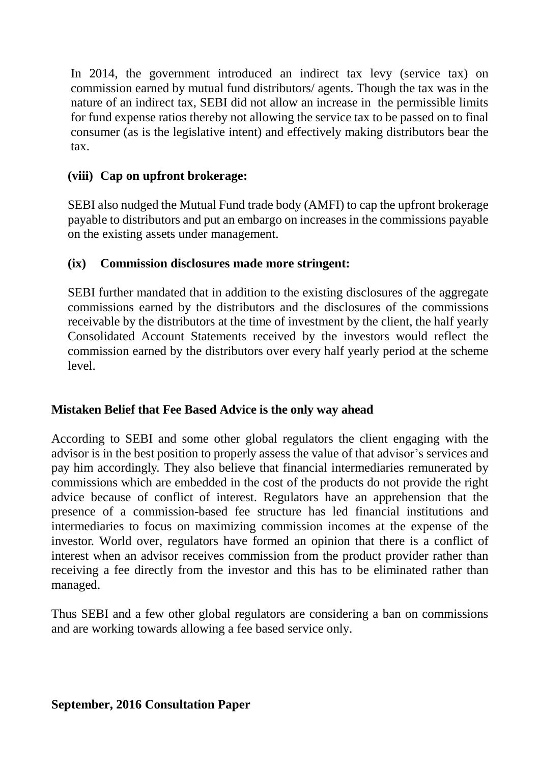In 2014, the government introduced an indirect tax levy (service tax) on commission earned by mutual fund distributors/ agents. Though the tax was in the nature of an indirect tax, SEBI did not allow an increase in the permissible limits for fund expense ratios thereby not allowing the service tax to be passed on to final consumer (as is the legislative intent) and effectively making distributors bear the tax.

## **(viii) Cap on upfront brokerage:**

SEBI also nudged the Mutual Fund trade body (AMFI) to cap the upfront brokerage payable to distributors and put an embargo on increases in the commissions payable on the existing assets under management.

## **(ix) Commission disclosures made more stringent:**

SEBI further mandated that in addition to the existing disclosures of the aggregate commissions earned by the distributors and the disclosures of the commissions receivable by the distributors at the time of investment by the client, the half yearly Consolidated Account Statements received by the investors would reflect the commission earned by the distributors over every half yearly period at the scheme level.

## **Mistaken Belief that Fee Based Advice is the only way ahead**

According to SEBI and some other global regulators the client engaging with the advisor is in the best position to properly assess the value of that advisor's services and pay him accordingly. They also believe that financial intermediaries remunerated by commissions which are embedded in the cost of the products do not provide the right advice because of conflict of interest. Regulators have an apprehension that the presence of a commission-based fee structure has led financial institutions and intermediaries to focus on maximizing commission incomes at the expense of the investor. World over, regulators have formed an opinion that there is a conflict of interest when an advisor receives commission from the product provider rather than receiving a fee directly from the investor and this has to be eliminated rather than managed.

Thus SEBI and a few other global regulators are considering a ban on commissions and are working towards allowing a fee based service only.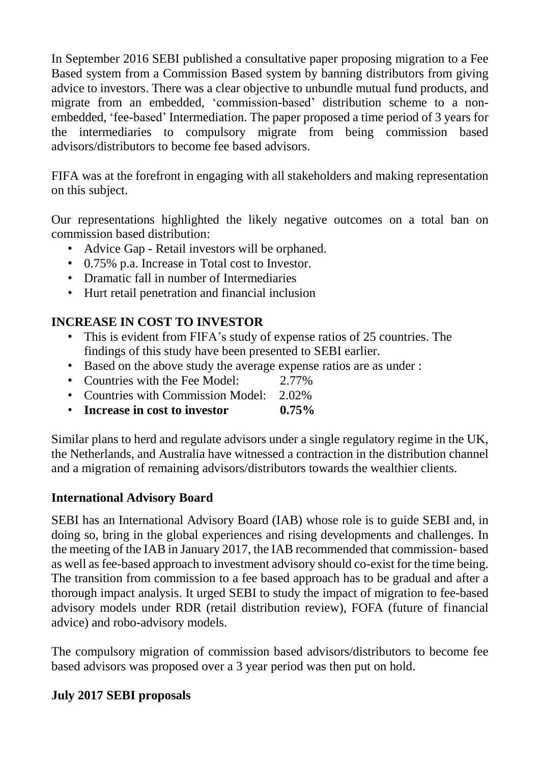In September 2016 SEBI published a consultative paper proposing migration to a Fee Based system from a Commission Based system by banning distributors from giving advice to investors. There was a clear objective to unbundle mutual fund products, and migrate from an embedded, 'commission-based' distribution scheme to a nonembedded, 'fee-based' Intermediation. The paper proposed a time period of 3 years for the intermediaries to compulsory migrate from being commission based advisors/distributors to become fee based advisors.

FIFA was at the forefront in engaging with all stakeholders and making representation on this subject.

Our representations highlighted the likely negative outcomes on a total ban on commission based distribution:

- Advice Gap Retail investors will be orphaned.
- 0.75% p.a. Increase in Total cost to Investor.
- Dramatic fall in number of Intermediaries
- Hurt retail penetration and financial inclusion

## **INCREASE IN COST TO INVESTOR**

- This is evident from FIFA's study of expense ratios of 25 countries. The findings of this study have been presented to SEBI earlier.
- Based on the above study the average expense ratios are as under :
- Countries with the Fee Model: 2.77%
- Countries with Commission Model: 2.02%
- **Increase in cost to investor 0.75%**

Similar plans to herd and regulate advisors under a single regulatory regime in the UK, the Netherlands, and Australia have witnessed a contraction in the distribution channel and a migration of remaining advisors/distributors towards the wealthier clients.

## **International Advisory Board**

SEBI has an International Advisory Board (IAB) whose role is to guide SEBI and, in doing so, bring in the global experiences and rising developments and challenges. In the meeting of the IAB in January 2017, the IAB recommended that commission- based as well as fee-based approach to investment advisory should co-exist for the time being. The transition from commission to a fee based approach has to be gradual and after a thorough impact analysis. It urged SEBI to study the impact of migration to fee-based advisory models under RDR (retail distribution review), FOFA (future of financial advice) and robo-advisory models.

The compulsory migration of commission based advisors/distributors to become fee based advisors was proposed over a 3 year period was then put on hold.

## **July 2017 SEBI proposals**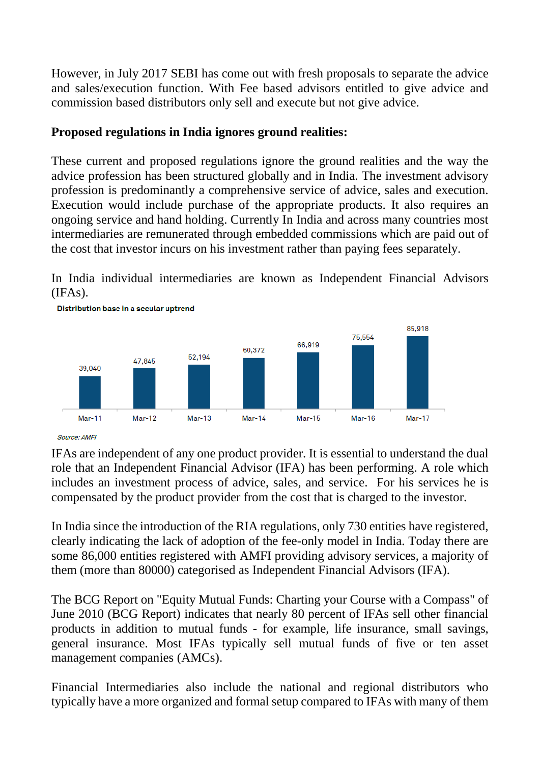However, in July 2017 SEBI has come out with fresh proposals to separate the advice and sales/execution function. With Fee based advisors entitled to give advice and commission based distributors only sell and execute but not give advice.

## **Proposed regulations in India ignores ground realities:**

These current and proposed regulations ignore the ground realities and the way the advice profession has been structured globally and in India. The investment advisory profession is predominantly a comprehensive service of advice, sales and execution. Execution would include purchase of the appropriate products. It also requires an ongoing service and hand holding. Currently In India and across many countries most intermediaries are remunerated through embedded commissions which are paid out of the cost that investor incurs on his investment rather than paying fees separately.

In India individual intermediaries are known as Independent Financial Advisors (IFAs).



Source: AMFI

IFAs are independent of any one product provider. It is essential to understand the dual role that an Independent Financial Advisor (IFA) has been performing. A role which includes an investment process of advice, sales, and service. For his services he is compensated by the product provider from the cost that is charged to the investor.

In India since the introduction of the RIA regulations, only 730 entities have registered, clearly indicating the lack of adoption of the fee-only model in India. Today there are some 86,000 entities registered with AMFI providing advisory services, a majority of them (more than 80000) categorised as Independent Financial Advisors (IFA).

The BCG Report on "Equity Mutual Funds: Charting your Course with a Compass" of June 2010 (BCG Report) indicates that nearly 80 percent of IFAs sell other financial products in addition to mutual funds - for example, life insurance, small savings, general insurance. Most IFAs typically sell mutual funds of five or ten asset management companies (AMCs).

Financial Intermediaries also include the national and regional distributors who typically have a more organized and formal setup compared to IFAs with many of them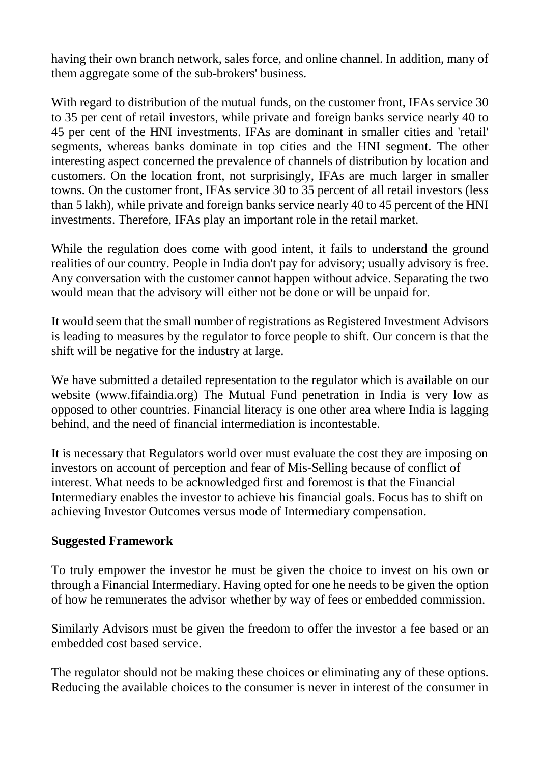having their own branch network, sales force, and online channel. In addition, many of them aggregate some of the sub-brokers' business.

With regard to distribution of the mutual funds, on the customer front, IFAs service 30 to 35 per cent of retail investors, while private and foreign banks service nearly 40 to 45 per cent of the HNI investments. IFAs are dominant in smaller cities and 'retail' segments, whereas banks dominate in top cities and the HNI segment. The other interesting aspect concerned the prevalence of channels of distribution by location and customers. On the location front, not surprisingly, IFAs are much larger in smaller towns. On the customer front, IFAs service 30 to 35 percent of all retail investors (less than 5 lakh), while private and foreign banks service nearly 40 to 45 percent of the HNI investments. Therefore, IFAs play an important role in the retail market.

While the regulation does come with good intent, it fails to understand the ground realities of our country. People in India don't pay for advisory; usually advisory is free. Any conversation with the customer cannot happen without advice. Separating the two would mean that the advisory will either not be done or will be unpaid for.

It would seem that the small number of registrations as Registered Investment Advisors is leading to measures by the regulator to force people to shift. Our concern is that the shift will be negative for the industry at large.

We have submitted a detailed representation to the regulator which is available on our website (www.fifaindia.org) The Mutual Fund penetration in India is very low as opposed to other countries. Financial literacy is one other area where India is lagging behind, and the need of financial intermediation is incontestable.

It is necessary that Regulators world over must evaluate the cost they are imposing on investors on account of perception and fear of Mis-Selling because of conflict of interest. What needs to be acknowledged first and foremost is that the Financial Intermediary enables the investor to achieve his financial goals. Focus has to shift on achieving Investor Outcomes versus mode of Intermediary compensation.

#### **Suggested Framework**

To truly empower the investor he must be given the choice to invest on his own or through a Financial Intermediary. Having opted for one he needs to be given the option of how he remunerates the advisor whether by way of fees or embedded commission.

Similarly Advisors must be given the freedom to offer the investor a fee based or an embedded cost based service.

The regulator should not be making these choices or eliminating any of these options. Reducing the available choices to the consumer is never in interest of the consumer in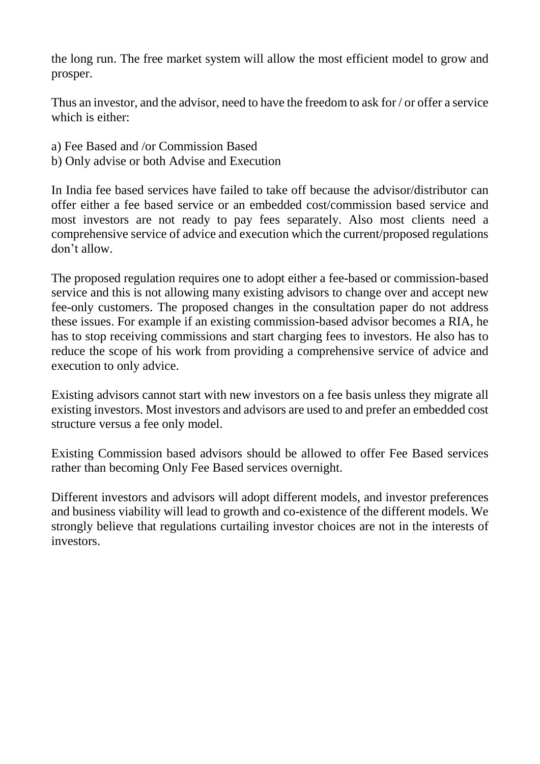the long run. The free market system will allow the most efficient model to grow and prosper.

Thus an investor, and the advisor, need to have the freedom to ask for / or offer a service which is either:

- a) Fee Based and /or Commission Based
- b) Only advise or both Advise and Execution

In India fee based services have failed to take off because the advisor/distributor can offer either a fee based service or an embedded cost/commission based service and most investors are not ready to pay fees separately. Also most clients need a comprehensive service of advice and execution which the current/proposed regulations don't allow.

The proposed regulation requires one to adopt either a fee-based or commission-based service and this is not allowing many existing advisors to change over and accept new fee-only customers. The proposed changes in the consultation paper do not address these issues. For example if an existing commission-based advisor becomes a RIA, he has to stop receiving commissions and start charging fees to investors. He also has to reduce the scope of his work from providing a comprehensive service of advice and execution to only advice.

Existing advisors cannot start with new investors on a fee basis unless they migrate all existing investors. Most investors and advisors are used to and prefer an embedded cost structure versus a fee only model.

Existing Commission based advisors should be allowed to offer Fee Based services rather than becoming Only Fee Based services overnight.

Different investors and advisors will adopt different models, and investor preferences and business viability will lead to growth and co-existence of the different models. We strongly believe that regulations curtailing investor choices are not in the interests of investors.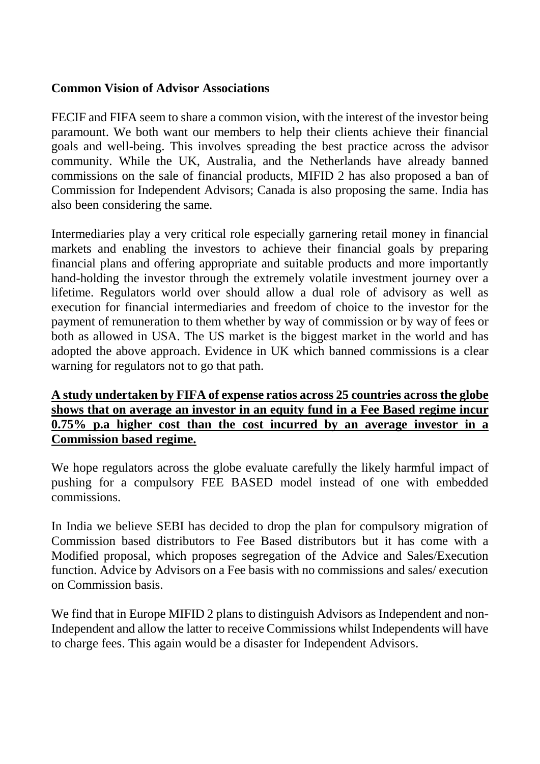#### **Common Vision of Advisor Associations**

FECIF and FIFA seem to share a common vision, with the interest of the investor being paramount. We both want our members to help their clients achieve their financial goals and well-being. This involves spreading the best practice across the advisor community. While the UK, Australia, and the Netherlands have already banned commissions on the sale of financial products, MIFID 2 has also proposed a ban of Commission for Independent Advisors; Canada is also proposing the same. India has also been considering the same.

Intermediaries play a very critical role especially garnering retail money in financial markets and enabling the investors to achieve their financial goals by preparing financial plans and offering appropriate and suitable products and more importantly hand-holding the investor through the extremely volatile investment journey over a lifetime. Regulators world over should allow a dual role of advisory as well as execution for financial intermediaries and freedom of choice to the investor for the payment of remuneration to them whether by way of commission or by way of fees or both as allowed in USA. The US market is the biggest market in the world and has adopted the above approach. Evidence in UK which banned commissions is a clear warning for regulators not to go that path.

## **A study undertaken by FIFA of expense ratios across 25 countries across the globe shows that on average an investor in an equity fund in a Fee Based regime incur 0.75% p.a higher cost than the cost incurred by an average investor in a Commission based regime.**

We hope regulators across the globe evaluate carefully the likely harmful impact of pushing for a compulsory FEE BASED model instead of one with embedded commissions.

In India we believe SEBI has decided to drop the plan for compulsory migration of Commission based distributors to Fee Based distributors but it has come with a Modified proposal, which proposes segregation of the Advice and Sales/Execution function. Advice by Advisors on a Fee basis with no commissions and sales/ execution on Commission basis.

We find that in Europe MIFID 2 plans to distinguish Advisors as Independent and non-Independent and allow the latter to receive Commissions whilst Independents will have to charge fees. This again would be a disaster for Independent Advisors.